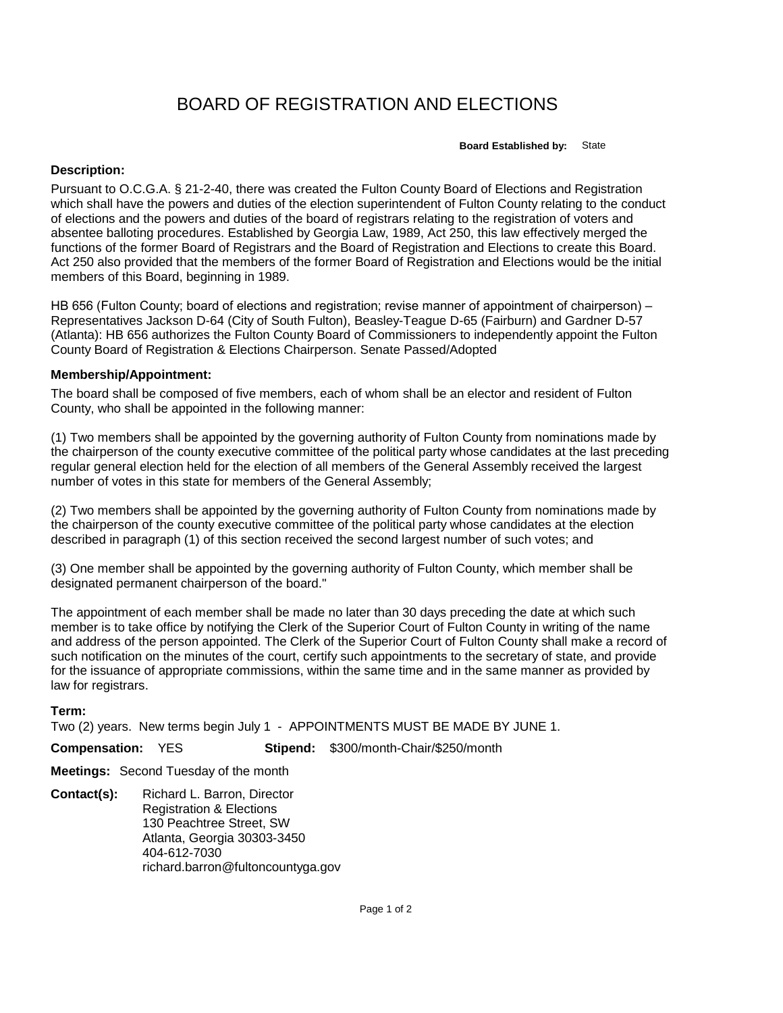## BOARD OF REGISTRATION AND ELECTIONS

**Board Established by:** State

## **Description:**

Pursuant to O.C.G.A. § 21-2-40, there was created the Fulton County Board of Elections and Registration which shall have the powers and duties of the election superintendent of Fulton County relating to the conduct of elections and the powers and duties of the board of registrars relating to the registration of voters and absentee balloting procedures. Established by Georgia Law, 1989, Act 250, this law effectively merged the functions of the former Board of Registrars and the Board of Registration and Elections to create this Board. Act 250 also provided that the members of the former Board of Registration and Elections would be the initial members of this Board, beginning in 1989.

HB 656 (Fulton County; board of elections and registration; revise manner of appointment of chairperson) – Representatives Jackson D-64 (City of South Fulton), Beasley-Teague D-65 (Fairburn) and Gardner D-57 (Atlanta): HB 656 authorizes the Fulton County Board of Commissioners to independently appoint the Fulton County Board of Registration & Elections Chairperson. Senate Passed/Adopted

## **Membership/Appointment:**

The board shall be composed of five members, each of whom shall be an elector and resident of Fulton County, who shall be appointed in the following manner:

(1) Two members shall be appointed by the governing authority of Fulton County from nominations made by the chairperson of the county executive committee of the political party whose candidates at the last preceding regular general election held for the election of all members of the General Assembly received the largest number of votes in this state for members of the General Assembly;

(2) Two members shall be appointed by the governing authority of Fulton County from nominations made by the chairperson of the county executive committee of the political party whose candidates at the election described in paragraph (1) of this section received the second largest number of such votes; and

(3) One member shall be appointed by the governing authority of Fulton County, which member shall be designated permanent chairperson of the board."

The appointment of each member shall be made no later than 30 days preceding the date at which such member is to take office by notifying the Clerk of the Superior Court of Fulton County in writing of the name and address of the person appointed. The Clerk of the Superior Court of Fulton County shall make a record of such notification on the minutes of the court, certify such appointments to the secretary of state, and provide for the issuance of appropriate commissions, within the same time and in the same manner as provided by law for registrars.

## **Term:**

Two (2) years. New terms begin July 1 - APPOINTMENTS MUST BE MADE BY JUNE 1.

**Compensation:** YES **Stipend:** \$300/month-Chair/\$250/month

**Meetings:** Second Tuesday of the month

**Contact(s):** Richard L. Barron, Director Registration & Elections 130 Peachtree Street, SW Atlanta, Georgia 30303-3450 404-612-7030 richard.barron@fultoncountyga.gov